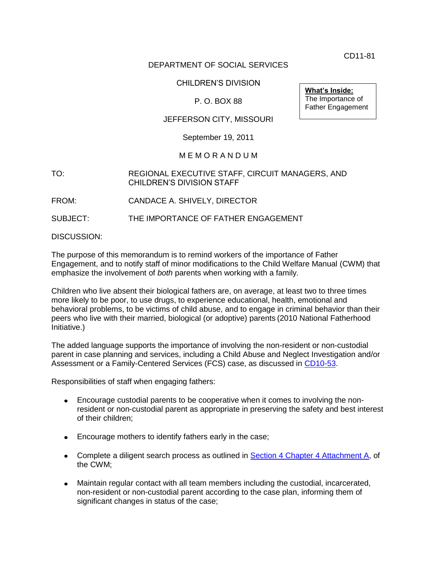CD11-81

### DEPARTMENT OF SOCIAL SERVICES

### CHILDREN'S DIVISION

# P. O. BOX 88

### JEFFERSON CITY, MISSOURI

### September 19, 2011

#### M E M O R A N D U M

#### TO: REGIONAL EXECUTIVE STAFF, CIRCUIT MANAGERS, AND CHILDREN'S DIVISION STAFF

FROM: CANDACE A. SHIVELY, DIRECTOR

SUBJECT: THE IMPORTANCE OF FATHER ENGAGEMENT

DISCUSSION:

The purpose of this memorandum is to remind workers of the importance of Father Engagement, and to notify staff of minor modifications to the Child Welfare Manual (CWM) that emphasize the involvement of *both* parents when working with a family.

Children who live absent their biological fathers are, on average, at least two to three times more likely to be poor, to use drugs, to experience educational, health, emotional and behavioral problems, to be victims of child abuse, and to engage in criminal behavior than their peers who live with their married, biological (or adoptive) parents (2010 National Fatherhood Initiative.)

The added language supports the importance of involving the non-resident or non-custodial parent in case planning and services, including a Child Abuse and Neglect Investigation and/or Assessment or a Family-Centered Services (FCS) case, as discussed in [CD10-53.](http://dss.mo.gov/cd/info/memos/2010/cd10-053.pdf)

Responsibilities of staff when engaging fathers:

- Encourage custodial parents to be cooperative when it comes to involving the non- $\bullet$ resident or non-custodial parent as appropriate in preserving the safety and best interest of their children;
- **Encourage mothers to identify fathers early in the case;**
- Complete a diligent search process as outlined in **Section 4 Chapter 4 Attachment A**, of the CWM;
- Maintain regular contact with all team members including the custodial, incarcerated, non-resident or non-custodial parent according to the case plan, informing them of significant changes in status of the case;

**What's Inside:** The Importance of Father Engagement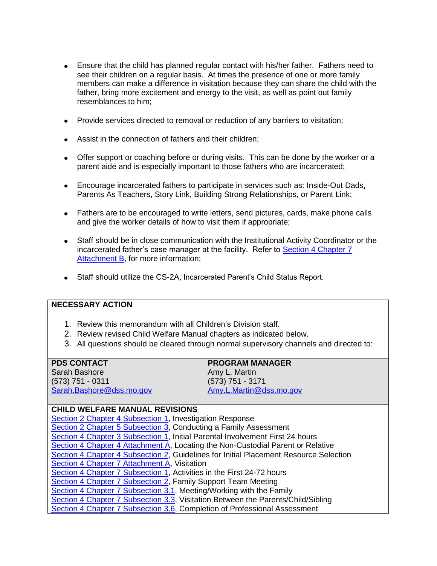- Ensure that the child has planned regular contact with his/her father. Fathers need to see their children on a regular basis. At times the presence of one or more family members can make a difference in visitation because they can share the child with the father, bring more excitement and energy to the visit, as well as point out family resemblances to him;
- Provide services directed to removal or reduction of any barriers to visitation;
- Assist in the connection of fathers and their children;
- Offer support or coaching before or during visits. This can be done by the worker or a parent aide and is especially important to those fathers who are incarcerated;
- Encourage incarcerated fathers to participate in services such as: Inside-Out Dads, Parents As Teachers, Story Link, Building Strong Relationships, or Parent Link;
- Fathers are to be encouraged to write letters, send pictures, cards, make phone calls and give the worker details of how to visit them if appropriate;
- Staff should be in close communication with the Institutional Activity Coordinator or the incarcerated father's case manager at the facility. Refer to [Section 4 Chapter 7](http://www.dss.mo.gov/cd/info/cwmanual/section4/ch7/sec4ch7attachb.htm)  [Attachment B,](http://www.dss.mo.gov/cd/info/cwmanual/section4/ch7/sec4ch7attachb.htm) for more information;
- Staff should utilize the CS-2A, Incarcerated Parent's Child Status Report.

### **NECESSARY ACTION**

- 1. Review this memorandum with all Children's Division staff.
- 2. Review revised Child Welfare Manual chapters as indicated below.
- 3. All questions should be cleared through normal supervisory channels and directed to:

|  | <b>PDS CONTACT</b> |
|--|--------------------|
|--|--------------------|

Sarah Bashore (573) 751 - 0311 [Sarah.Bashore@dss.mo.gov](mailto:Sarah.Bashore@dss.mo.gov)

# **PROGRAM MANAGER**

Amy L. Martin (573) 751 - 3171 [Amy.L.Martin@dss.mo.gov](mailto:Dena.D.Driver@dss.mo.gov)

# **CHILD WELFARE MANUAL REVISIONS**

[Section 2 Chapter 4 Subsection 1,](http://www.dss.mo.gov/cd/info/cwmanual/section2/ch4/sec2ch4sub1.htm) Investigation Response [Section 2 Chapter 5 Subsection 3,](http://www.dss.mo.gov/cd/info/cwmanual/section2/ch5/sec2ch5index.htm) Conducting a Family Assessment [Section 4 Chapter 3 Subsection 1,](http://www.dss.mo.gov/cd/info/cwmanual/section4/ch3/sec4ch3sub1_3.htm) Initial Parental Involvement First 24 hours [Section 4 Chapter 4 Attachment A,](http://www.dss.mo.gov/cd/info/cwmanual/section4/ch4/sec4ch4attacha.htm) Locating the Non-Custodial Parent or Relative [Section 4 Chapter 4 Subsection 2,](http://www.dss.mo.gov/cd/info/cwmanual/section4/ch4/sec4ch4sub2.htm) Guidelines for Initial Placement Resource Selection **[Section 4 Chapter 7 Attachment A,](http://www.dss.mo.gov/cd/info/cwmanual/section4/ch7/sec4ch7attacha.htm) Visitation** [Section 4 Chapter 7 Subsection 1,](http://www.dss.mo.gov/cd/info/cwmanual/section4/ch7/sec4ch7sub1.htm) Activities in the First 24-72 hours [Section 4 Chapter 7 Subsection 2,](http://www.dss.mo.gov/cd/info/cwmanual/section4/ch7/sec4ch7sub2.htm) Family Support Team Meeting [Section 4 Chapter 7 Subsection 3.1,](http://www.dss.mo.gov/cd/info/cwmanual/section4/ch7/sec4ch7sub3_1.htm) Meeting/Working with the Family [Section 4 Chapter 7 Subsection 3.3,](http://www.dss.mo.gov/cd/info/cwmanual/section4/ch7/sec4ch7sub3_3.htm) Visitation Between the Parents/Child/Sibling [Section 4 Chapter 7 Subsection 3.6,](http://www.dss.mo.gov/cd/info/cwmanual/section4/ch7/sec4ch7sub3_6.htm) Completion of Professional Assessment